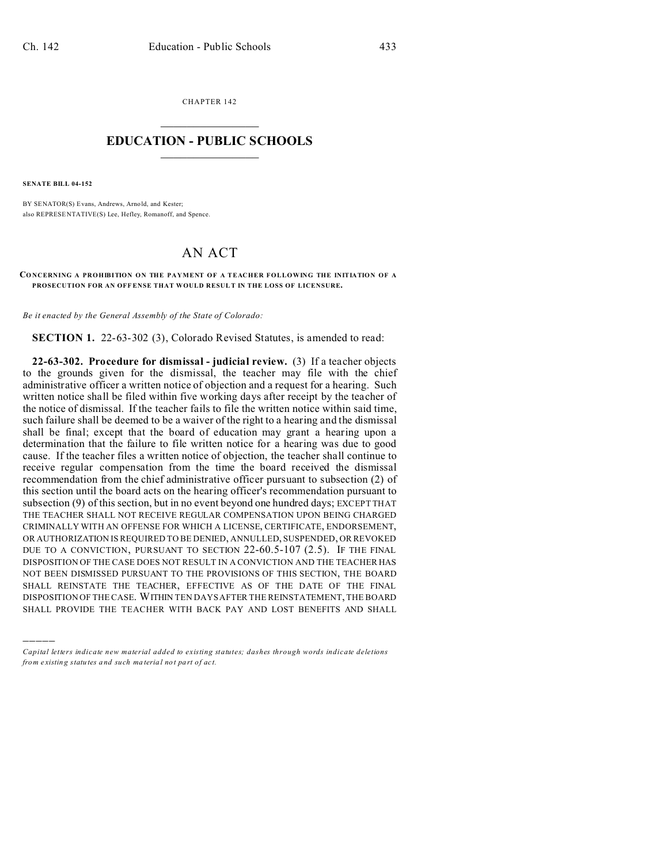CHAPTER 142  $\overline{\phantom{a}}$  , where  $\overline{\phantom{a}}$ 

## **EDUCATION - PUBLIC SCHOOLS**  $\_$   $\_$   $\_$   $\_$   $\_$   $\_$   $\_$   $\_$   $\_$

**SENATE BILL 04-152**

)))))

BY SENATOR(S) Evans, Andrews, Arnold, and Kester; also REPRESE NTATIVE(S) Lee, Hefley, Romanoff, and Spence.

## AN ACT

**CO NCERNING A PROHIBITION ON THE PAYMENT OF A TEACHER FOLLOWING THE INITIATION OF A PROSECUTION FOR AN OFF ENSE THAT WOULD RESUL T IN THE LOSS OF LICENSURE.**

*Be it enacted by the General Assembly of the State of Colorado:*

**SECTION 1.** 22-63-302 (3), Colorado Revised Statutes, is amended to read:

**22-63-302. Procedure for dismissal - judicial review.** (3) If a teacher objects to the grounds given for the dismissal, the teacher may file with the chief administrative officer a written notice of objection and a request for a hearing. Such written notice shall be filed within five working days after receipt by the teacher of the notice of dismissal. If the teacher fails to file the written notice within said time, such failure shall be deemed to be a waiver of the right to a hearing and the dismissal shall be final; except that the board of education may grant a hearing upon a determination that the failure to file written notice for a hearing was due to good cause. If the teacher files a written notice of objection, the teacher shall continue to receive regular compensation from the time the board received the dismissal recommendation from the chief administrative officer pursuant to subsection (2) of this section until the board acts on the hearing officer's recommendation pursuant to subsection (9) of this section, but in no event beyond one hundred days; EXCEPT THAT THE TEACHER SHALL NOT RECEIVE REGULAR COMPENSATION UPON BEING CHARGED CRIMINALLY WITH AN OFFENSE FOR WHICH A LICENSE, CERTIFICATE, ENDORSEMENT, OR AUTHORIZATION IS REQUIRED TO BE DENIED, ANNULLED, SUSPENDED, OR REVOKED DUE TO A CONVICTION, PURSUANT TO SECTION 22-60.5-107 (2.5). IF THE FINAL DISPOSITION OF THE CASE DOES NOT RESULT IN A CONVICTION AND THE TEACHER HAS NOT BEEN DISMISSED PURSUANT TO THE PROVISIONS OF THIS SECTION, THE BOARD SHALL REINSTATE THE TEACHER, EFFECTIVE AS OF THE DATE OF THE FINAL DISPOSITION OF THE CASE. WITHIN TEN DAYS AFTER THE REINSTATEMENT, THE BOARD SHALL PROVIDE THE TEACHER WITH BACK PAY AND LOST BENEFITS AND SHALL

*Capital letters indicate new material added to existing statutes; dashes through words indicate deletions from e xistin g statu tes a nd such ma teria l no t pa rt of ac t.*